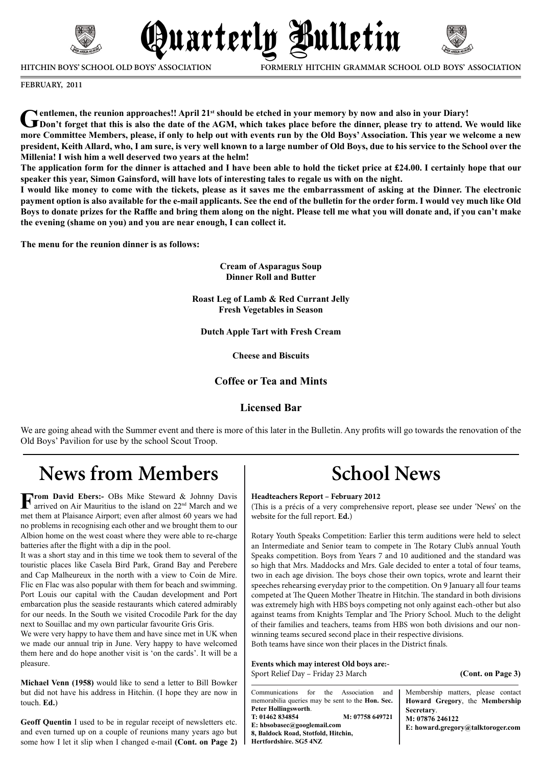

**HITCHIN BOYS' SCHOOL OLD BOYS' ASSOCIATION**

**FORMERLY HITCHIN GRAMMAR SCHOOL OLD BOYS' ASSOCIATION**

**February, 2011**

Centlemen, the reunion approaches!! April 21<sup>st</sup> should be etched in your memory by now and also in your Diary!<br>
The point forget that this is also the date of the AGM, which takes place before the dinner, please try to at **more Committee Members, please, if only to help out with events run by the Old Boys' Association. This year we welcome a new president, Keith Allard, who, I am sure, is very well known to a large number of Old Boys, due to his service to the School over the Millenia! I wish him a well deserved two years at the helm!**

Quarterly Bulletin

**The application form for the dinner is attached and I have been able to hold the ticket price at £24.00. I certainly hope that our speaker this year, Simon Gainsford, will have lots of interesting tales to regale us with on the night.**

**I would like money to come with the tickets, please as it saves me the embarrassment of asking at the Dinner. The electronic payment option is also available for the e-mail applicants. See the end of the bulletin for the order form. I would vey much like Old Boys to donate prizes for the Raffle and bring them along on the night. Please tell me what you will donate and, if you can't make the evening (shame on you) and you are near enough, I can collect it.**

**The menu for the reunion dinner is as follows:**

**Cream of Asparagus Soup Dinner Roll and Butter**

**Roast Leg of Lamb & Red Currant Jelly Fresh Vegetables in Season**

**Dutch Apple Tart with Fresh Cream**

**Cheese and Biscuits**

### **Coffee or Tea and Mints**

### **Licensed Bar**

We are going ahead with the Summer event and there is more of this later in the Bulletin. Any profits will go towards the renovation of the Old Boys' Pavilion for use by the school Scout Troop.

# **News from Members**

**From David Ebers:**- OBs Mike Steward & Johnny Davis arrived on Air Mauritius to the island on 22nd March and we met them at Plaisance Airport; even after almost 60 years we had no problems in recognising each other and we brought them to our Albion home on the west coast where they were able to re-charge batteries after the flight with a dip in the pool.

It was a short stay and in this time we took them to several of the touristic places like Casela Bird Park, Grand Bay and Perebere and Cap Malheureux in the north with a view to Coin de Mire. Flic en Flac was also popular with them for beach and swimming. Port Louis our capital with the Caudan development and Port embarcation plus the seaside restaurants which catered admirably for our needs. In the South we visited Crocodile Park for the day next to Souillac and my own particular favourite Gris Gris.

We were very happy to have them and have since met in UK when we made our annual trip in June. Very happy to have welcomed them here and do hope another visit is 'on the cards'. It will be a pleasure.

**Michael Venn (1958)** would like to send a letter to Bill Bowker but did not have his address in Hitchin. (I hope they are now in touch. **Ed.**)

some how I let it slip when I changed e-mail **(Cont. on Page 2)** | Hertfordshire. SG5 4NZ **Geoff Quentin** I used to be in regular receipt of newsletters etc. and even turned up on a couple of reunions many years ago but

# **School News**

#### **Headteachers Report – February 2012**

(This is a précis of a very comprehensive report, please see under 'News' on the website for the full report. **Ed.**)

Rotary Youth Speaks Competition: Earlier this term auditions were held to select an Intermediate and Senior team to compete in The Rotary Club's annual Youth Speaks competition. Boys from Years 7 and 10 auditioned and the standard was so high that Mrs. Maddocks and Mrs. Gale decided to enter a total of four teams, two in each age division. The boys chose their own topics, wrote and learnt their speeches rehearsing everyday prior to the competition. On 9 January all four teams competed at The Queen Mother Theatre in Hitchin. The standard in both divisions was extremely high with HBS boys competing not only against each-other but also against teams from Knights Templar and The Priory School. Much to the delight of their families and teachers, teams from HBS won both divisions and our nonwinning teams secured second place in their respective divisions. Both teams have since won their places in the District finals.

**Events which may interest Old boys are:-** Sport Relief Day – Friday 23 March **(Cont. on Page 3)**

| Communications for the Association<br>and 1<br>memorabilia queries may be sent to the <b>Hon. Sec.</b> | Membership matters, please contact<br>Howard Gregory, the Membership |
|--------------------------------------------------------------------------------------------------------|----------------------------------------------------------------------|
| Peter Hollingsworth.                                                                                   | Secretary.                                                           |
| M: 07758 649721<br>T: 01462 834854                                                                     | M: 07876 246122                                                      |
| E: hbsobasec@googlemail.com                                                                            | E: howard.gregory@talktoroger.com                                    |
| 8, Baldock Road, Stotfold, Hitchin,                                                                    |                                                                      |
| Hertfordshire. SG5 4NZ                                                                                 |                                                                      |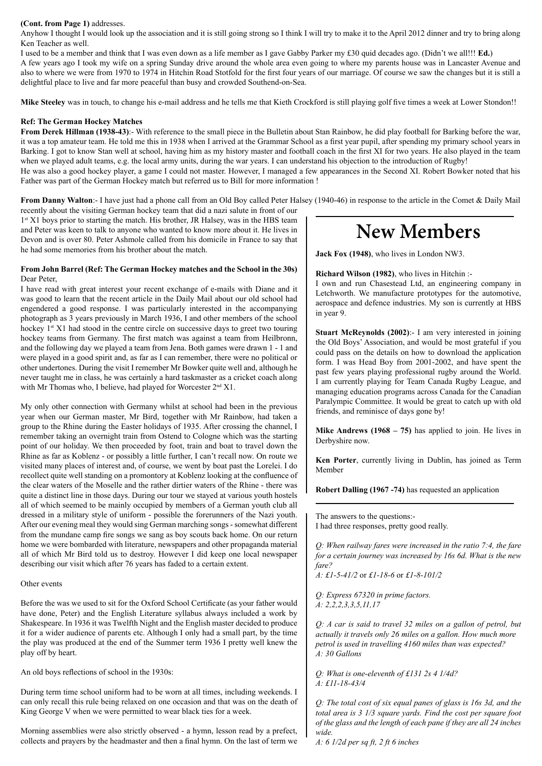#### **(Cont. from Page 1)** addresses.

Anyhow I thought I would look up the association and it is still going strong so I think I will try to make it to the April 2012 dinner and try to bring along Ken Teacher as well.

I used to be a member and think that I was even down as a life member as I gave Gabby Parker my £30 quid decades ago. (Didn't we all!!! **Ed.**)

A few years ago I took my wife on a spring Sunday drive around the whole area even going to where my parents house was in Lancaster Avenue and also to where we were from 1970 to 1974 in Hitchin Road Stotfold for the first four years of our marriage. Of course we saw the changes but it is still a delightful place to live and far more peaceful than busy and crowded Southend-on-Sea.

**Mike Steeley** was in touch, to change his e-mail address and he tells me that Kieth Crockford is still playing golf five times a week at Lower Stondon!!

#### **Ref: The German Hockey Matches**

**From Derek Hillman (1938-43)**:- With reference to the small piece in the Bulletin about Stan Rainbow, he did play football for Barking before the war, it was a top amateur team. He told me this in 1938 when I arrived at the Grammar School as a first year pupil, after spending my primary school years in Barking. I got to know Stan well at school, having him as my history master and football coach in the first XI for two years. He also played in the team when we played adult teams, e.g. the local army units, during the war years. I can understand his objection to the introduction of Rugby! He was also a good hockey player, a game I could not master. However, I managed a few appearances in the Second XI. Robert Bowker noted that his Father was part of the German Hockey match but referred us to Bill for more information !

**From Danny Walton**:- I have just had a phone call from an Old Boy called Peter Halsey (1940-46) in response to the article in the Comet & Daily Mail

recently about the visiting German hockey team that did a nazi salute in front of our  $1<sup>st</sup> X1$  boys prior to starting the match. His brother, JR Halsey, was in the HBS team and Peter was keen to talk to anyone who wanted to know more about it. He lives in Devon and is over 80. Peter Ashmole called from his domicile in France to say that he had some memories from his brother about the match.

#### **From John Barrel (Ref: The German Hockey matches and the School in the 30s)** Dear Peter,

I have read with great interest your recent exchange of e-mails with Diane and it was good to learn that the recent article in the Daily Mail about our old school had engendered a good response. I was particularly interested in the accompanying photograph as 3 years previously in March 1936, I and other members of the school hockey  $1<sup>st</sup> X1$  had stood in the centre circle on successive days to greet two touring hockey teams from Germany. The first match was against a team from Heilbronn, and the following day we played a team from Jena. Both games were drawn 1 - 1 and were played in a good spirit and, as far as I can remember, there were no political or other undertones. During the visit I remember Mr Bowker quite well and, although he never taught me in class, he was certainly a hard taskmaster as a cricket coach along with Mr Thomas who, I believe, had played for Worcester 2<sup>nd</sup> X1.

My only other connection with Germany whilst at school had been in the previous year when our German master, Mr Bird, together with Mr Rainbow, had taken a group to the Rhine during the Easter holidays of 1935. After crossing the channel, I remember taking an overnight train from Ostend to Cologne which was the starting point of our holiday. We then proceeded by foot, train and boat to travel down the Rhine as far as Koblenz - or possibly a little further, I can't recall now. On route we visited many places of interest and, of course, we went by boat past the Lorelei. I do recollect quite well standing on a promontory at Koblenz looking at the confluence of the clear waters of the Moselle and the rather dirtier waters of the Rhine - there was quite a distinct line in those days. During our tour we stayed at various youth hostels all of which seemed to be mainly occupied by members of a German youth club all dressed in a military style of uniform - possible the forerunners of the Nazi youth. After our evening meal they would sing German marching songs - somewhat different from the mundane camp fire songs we sang as boy scouts back home. On our return home we were bombarded with literature, newspapers and other propaganda material all of which Mr Bird told us to destroy. However I did keep one local newspaper describing our visit which after 76 years has faded to a certain extent.

#### Other events

Before the was we used to sit for the Oxford School Certificate (as your father would have done, Peter) and the English Literature syllabus always included a work by Shakespeare. In 1936 it was Twelfth Night and the English master decided to produce it for a wider audience of parents etc. Although I only had a small part, by the time the play was produced at the end of the Summer term 1936 I pretty well knew the play off by heart.

An old boys reflections of school in the 1930s:

During term time school uniform had to be worn at all times, including weekends. I can only recall this rule being relaxed on one occasion and that was on the death of King George V when we were permitted to wear black ties for a week.

Morning assemblies were also strictly observed - a hymn, lesson read by a prefect, collects and prayers by the headmaster and then a final hymn. On the last of term we

# **New Members**

**Jack Fox (1948)**, who lives in London NW3.

### **Richard Wilson (1982)**, who lives in Hitchin :-

I own and run Chasestead Ltd, an engineering company in Letchworth. We manufacture prototypes for the automotive, aerospace and defence industries. My son is currently at HBS in year 9.

**Stuart McReynolds (2002)**:- I am very interested in joining the Old Boys' Association, and would be most grateful if you could pass on the details on how to download the application form. I was Head Boy from 2001-2002, and have spent the past few years playing professional rugby around the World. I am currently playing for Team Canada Rugby League, and managing education programs across Canada for the Canadian Paralympic Committee. It would be great to catch up with old friends, and reminisce of days gone by!

**Mike Andrews (1968 – 75)** has applied to join. He lives in Derbyshire now.

**Ken Porter**, currently living in Dublin, has joined as Term Member

**Robert Dalling (1967 -74)** has requested an application

The answers to the questions:- I had three responses, pretty good really.

*Q: When railway fares were increased in the ratio 7:4, the fare for a certain journey was increased by 16s 6d. What is the new fare?*

*A: £1-5-41/2* or *£1-18-6* or *£1-8-101/2*

*Q: Express 67320 in prime factors. A: 2,2,2,3,3,5,11,17*

*Q: A car is said to travel 32 miles on a gallon of petrol, but actually it travels only 26 miles on a gallon. How much more petrol is used in travelling 4160 miles than was expected? A: 30 Gallons*

*Q: What is one-eleventh of £131 2s 4 1/4d? A: £11-18-43/4*

*Q: The total cost of six equal panes of glass is 16s 3d, and the total area is 3 1/3 square yards. Find the cost per square foot of the glass and the length of each pane if they are all 24 inches wide.*

*A: 6 1/2d per sq ft, 2 ft 6 inches*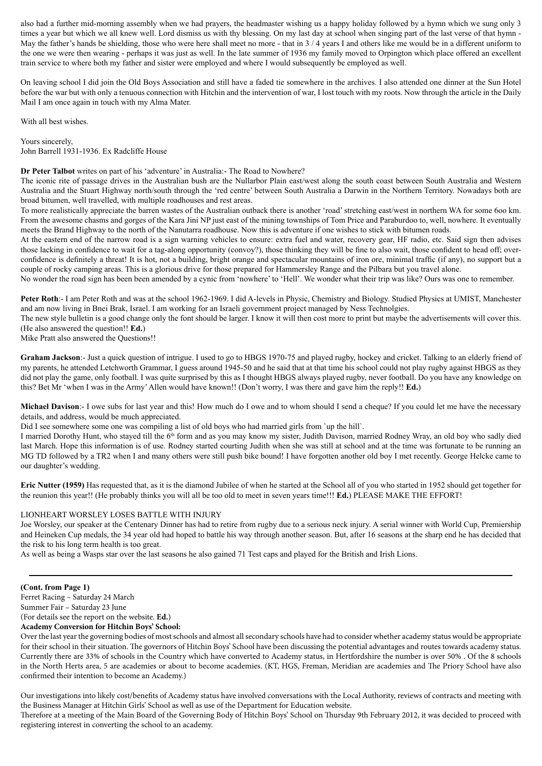also had a further mid-morning assembly when we had prayers, the headmaster wishing us a happy holiday followed by a hymn which we sung only 3 times a year but which we all knew well. Lord dismiss us with thy blessing. On my last day at school when singing part of the last verse of that hymn - May the father's hands be shielding, those who were here shall meet no more - that in  $3/4$  years I and others like me would be in a different uniform to the one we were then wearing - perhaps it was just as well. In the late summer of 1936 my family moved to Orpington which place offered an excellent train service to where both my father and sister were employed and where I would subsequently be employed as well.

On leaving school I did join the Old Boys Association and still have a faded tie somewhere in the archives. I also attended one dinner at the Sun Hotel before the war but with only a tenuous connection with Hitchin and the intervention of war, I lost touch with my roots. Now through the article in the Daily Mail I am once again in touch with my Alma Mater.

With all best wishes.

Yours sincerely, John Barrell 1931-1936. Ex Radcliffe House

**Dr Peter Talbot** writes on part of his 'adventure' in Australia:- The Road to Nowhere?

The iconic rite of passage drives in the Australian bush are the Nullarbor Plain east/west along the south coast between South Australia and Western Australia and the Stuart Highway north/south through the 'red centre' between South Australia a Darwin in the Northern Territory. Nowadays both are broad bitumen, well travelled, with multiple roadhouses and rest areas.

To more realistically appreciate the barren wastes of the Australian outback there is another 'road' stretching east/west in northern WA for some 6oo km. From the awesome chasms and gorges of the Kara Jini NP just east of the mining townships of Tom Price and Paraburdoo to, well, nowhere. It eventually meets the Brand Highway to the north of the Nanutarra roadhouse. Now this is adventure if one wishes to stick with bitumen roads.

At the eastern end of the narrow road is a sign warning vehicles to ensure: extra fuel and water, recovery gear, HF radio, etc. Said sign then advises those lacking in confidence to wait for a tag-along opportunity (convoy?), those thinking they will be fine to also wait, those confident to head off; overconfidence is definitely a threat! It is hot, not a building, bright orange and spectacular mountains of iron ore, minimal traffic (if any), no support but a couple of rocky camping areas. This is a glorious drive for those prepared for Hammersley Range and the Pilbara but you travel alone.

No wonder the road sign has been been amended by a cynic from 'nowhere' to 'Hell'. We wonder what their trip was like? Ours was one to remember.

Peter Roth:- I am Peter Roth and was at the school 1962-1969. I did A-levels in Physic, Chemistry and Biology. Studied Physics at UMIST, Manchester and am now living in Bnei Brak, Israel. I am working for an Israeli government project managed by Ness Technolgies.

The new style bulletin is a good change only the font should be larger. I know it will then cost more to print but maybe the advertisements will cover this. (He also answered the question!! **Ed.**)

Mike Pratt also answered the Questions!!

**Graham Jackson**:- Just a quick question of intrigue. I used to go to HBGS 1970-75 and played rugby, hockey and cricket. Talking to an elderly friend of my parents, he attended Letchworth Grammar, I guess around 1945-50 and he said that at that time his school could not play rugby against HBGS as they did not play the game, only football. I was quite surprised by this as I thought HBGS always played rugby, never football. Do you have any knowledge on this? Bet Mr 'when I was in the Army' Allen would have known!! (Don't worry, I was there and gave him the reply!! **Ed.**)

**Michael Davison**:- I owe subs for last year and this! How much do I owe and to whom should I send a cheque? If you could let me have the necessary details, and address, would be much appreciated.

Did I see somewhere some one was compiling a list of old boys who had married girls from 'up the hill'.

I married Dorothy Hunt, who stayed till the 6<sup>th</sup> form and as you may know my sister, Judith Davison, married Rodney Wray, an old boy who sadly died last March. Hope this information is of use. Rodney started courting Judith when she was still at school and at the time was fortunate to be running an MG TD followed by a TR2 when I and many others were still push bike bound! I have forgotten another old boy I met recently. George Helcke came to our daughter's wedding.

**Eric Nutter (1959)** Has requested that, as it is the diamond Jubilee of when he started at the School all of you who started in 1952 should get together for the reunion this year!! (He probably thinks you will all be too old to meet in seven years time!!! **Ed.**) PLEASE MAKE THE EFFORT!

### LIONHEART WORSLEY LOSES BATTLE WITH INJURY

Joe Worsley, our speaker at the Centenary Dinner has had to retire from rugby due to a serious neck injury. A serial winner with World Cup, Premiership and Heineken Cup medals, the 34 year old had hoped to battle his way through another season. But, after 16 seasons at the sharp end he has decided that the risk to his long term health is too great.

As well as being a Wasps star over the last seasons he also gained 71 Test caps and played for the British and Irish Lions.

#### **(Cont. from Page 1)**

Ferret Racing – Saturday 24 March Summer Fair – Saturday 23 June (For details see the report on the website. **Ed.**) **Academy Conversion for Hitchin Boys' School:**

Over the last year the governing bodies of most schools and almost all secondary schools have had to consider whether academy status would be appropriate for their school in their situation. The governors of Hitchin Boys' School have been discussing the potential advantages and routes towards academy status. Currently there are 33% of schools in the Country which have converted to Academy status, in Hertfordshire the number is over 50% . Of the 8 schools in the North Herts area, 5 are academies or about to become academies. (KT, HGS, Freman, Meridian are academies and The Priory School have also confirmed their intention to become an Academy.)

Our investigations into likely cost/benefits of Academy status have involved conversations with the Local Authority, reviews of contracts and meeting with the Business Manager at Hitchin Girls' School as well as use of the Department for Education website.

Therefore at a meeting of the Main Board of the Governing Body of Hitchin Boys' School on Thursday 9th February 2012, it was decided to proceed with registering interest in converting the school to an academy.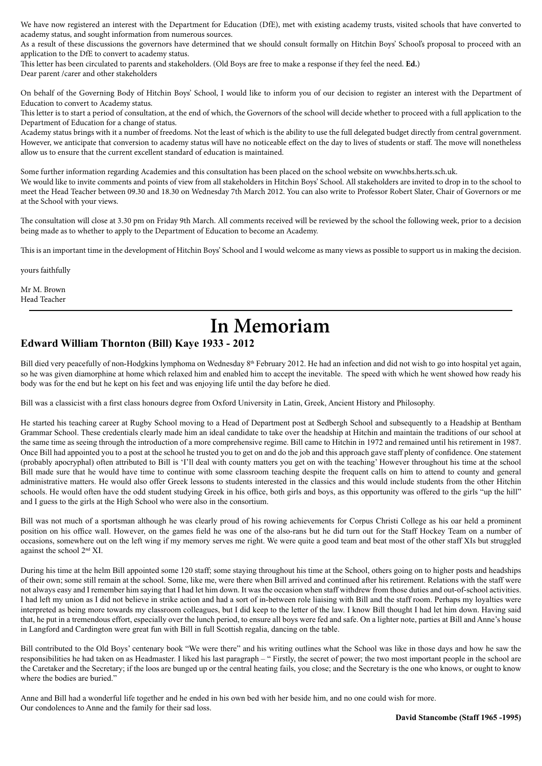We have now registered an interest with the Department for Education (DfE), met with existing academy trusts, visited schools that have converted to academy status, and sought information from numerous sources.

As a result of these discussions the governors have determined that we should consult formally on Hitchin Boys' School's proposal to proceed with an application to the DfE to convert to academy status.

This letter has been circulated to parents and stakeholders. (Old Boys are free to make a response if they feel the need. **Ed.**) Dear parent /carer and other stakeholders

On behalf of the Governing Body of Hitchin Boys' School, I would like to inform you of our decision to register an interest with the Department of Education to convert to Academy status.

This letter is to start a period of consultation, at the end of which, the Governors of the school will decide whether to proceed with a full application to the Department of Education for a change of status.

Academy status brings with it a number of freedoms. Not the least of which is the ability to use the full delegated budget directly from central government. However, we anticipate that conversion to academy status will have no noticeable effect on the day to lives of students or staff. The move will nonetheless allow us to ensure that the current excellent standard of education is maintained.

Some further information regarding Academies and this consultation has been placed on the school website on www.hbs.herts.sch.uk. We would like to invite comments and points of view from all stakeholders in Hitchin Boys' School. All stakeholders are invited to drop in to the school to meet the Head Teacher between 09.30 and 18.30 on Wednesday 7th March 2012. You can also write to Professor Robert Slater, Chair of Governors or me at the School with your views.

The consultation will close at 3.30 pm on Friday 9th March. All comments received will be reviewed by the school the following week, prior to a decision being made as to whether to apply to the Department of Education to become an Academy.

This is an important time in the development of Hitchin Boys' School and I would welcome as many views as possible to support us in making the decision.

yours faithfully

Mr M. Brown Head Teacher

# **In Memoriam**

### **Edward William Thornton (Bill) Kaye 1933 - 2012**

Bill died very peacefully of non-Hodgkins lymphoma on Wednesday 8<sup>th</sup> February 2012. He had an infection and did not wish to go into hospital yet again, so he was given diamorphine at home which relaxed him and enabled him to accept the inevitable. The speed with which he went showed how ready his body was for the end but he kept on his feet and was enjoying life until the day before he died.

Bill was a classicist with a first class honours degree from Oxford University in Latin, Greek, Ancient History and Philosophy.

He started his teaching career at Rugby School moving to a Head of Department post at Sedbergh School and subsequently to a Headship at Bentham Grammar School. These credentials clearly made him an ideal candidate to take over the headship at Hitchin and maintain the traditions of our school at the same time as seeing through the introduction of a more comprehensive regime. Bill came to Hitchin in 1972 and remained until his retirement in 1987. Once Bill had appointed you to a post at the school he trusted you to get on and do the job and this approach gave staff plenty of confidence. One statement (probably apocryphal) often attributed to Bill is 'I'll deal with county matters you get on with the teaching' However throughout his time at the school Bill made sure that he would have time to continue with some classroom teaching despite the frequent calls on him to attend to county and general administrative matters. He would also offer Greek lessons to students interested in the classics and this would include students from the other Hitchin schools. He would often have the odd student studying Greek in his office, both girls and boys, as this opportunity was offered to the girls "up the hill" and I guess to the girls at the High School who were also in the consortium.

Bill was not much of a sportsman although he was clearly proud of his rowing achievements for Corpus Christi College as his oar held a prominent position on his office wall. However, on the games field he was one of the also-rans but he did turn out for the Staff Hockey Team on a number of occasions, somewhere out on the left wing if my memory serves me right. We were quite a good team and beat most of the other staff XIs but struggled against the school 2nd XI.

During his time at the helm Bill appointed some 120 staff; some staying throughout his time at the School, others going on to higher posts and headships of their own; some still remain at the school. Some, like me, were there when Bill arrived and continued after his retirement. Relations with the staff were not always easy and I remember him saying that I had let him down. It was the occasion when staff withdrew from those duties and out-of-school activities. I had left my union as I did not believe in strike action and had a sort of in-between role liaising with Bill and the staff room. Perhaps my loyalties were interpreted as being more towards my classroom colleagues, but I did keep to the letter of the law. I know Bill thought I had let him down. Having said that, he put in a tremendous effort, especially over the lunch period, to ensure all boys were fed and safe. On a lighter note, parties at Bill and Anne's house in Langford and Cardington were great fun with Bill in full Scottish regalia, dancing on the table.

Bill contributed to the Old Boys' centenary book "We were there" and his writing outlines what the School was like in those days and how he saw the responsibilities he had taken on as Headmaster. I liked his last paragraph – " Firstly, the secret of power; the two most important people in the school are the Caretaker and the Secretary; if the loos are bunged up or the central heating fails, you close; and the Secretary is the one who knows, or ought to know where the bodies are buried."

Anne and Bill had a wonderful life together and he ended in his own bed with her beside him, and no one could wish for more. Our condolences to Anne and the family for their sad loss.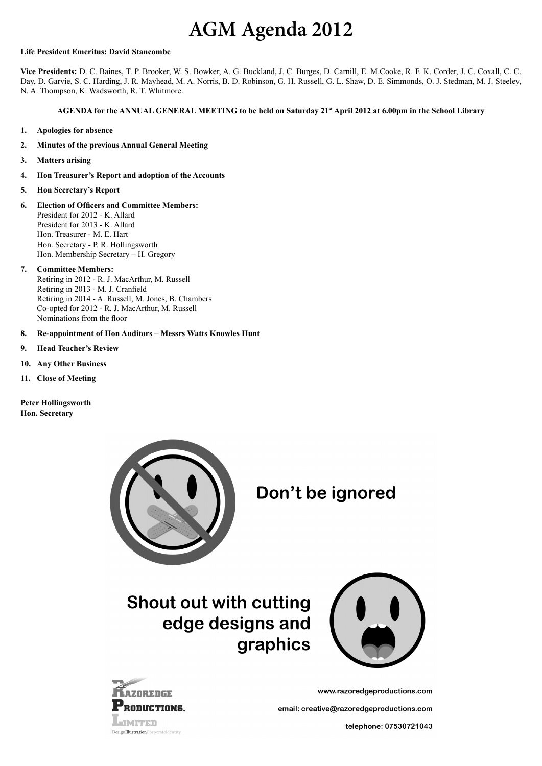# **AGM Agenda 2012**

#### **Life President Emeritus: David Stancombe**

**Vice Presidents:** D. C. Baines, T. P. Brooker, W. S. Bowker, A. G. Buckland, J. C. Burges, D. Carnill, E. M.Cooke, R. F. K. Corder, J. C. Coxall, C. C. Day, D. Garvie, S. C. Harding, J. R. Mayhead, M. A. Norris, B. D. Robinson, G. H. Russell, G. L. Shaw, D. E. Simmonds, O. J. Stedman, M. J. Steeley, N. A. Thompson, K. Wadsworth, R. T. Whitmore.

### **AGENDA for the ANNUAL GENERAL MEETING to be held on Saturday 21st April 2012 at 6.00pm in the School Library**

- **1. Apologies for absence**
- **2. Minutes of the previous Annual General Meeting**
- **3. Matters arising**
- **4. Hon Treasurer's Report and adoption of the Accounts**
- **5. Hon Secretary's Report**
- **6. Election of Officers and Committee Members:** President for 2012 - K. Allard President for 2013 - K. Allard Hon. Treasurer - M. E. Hart Hon. Secretary - P. R. Hollingsworth Hon. Membership Secretary – H. Gregory
- **7. Committee Members:**

Retiring in 2012 - R. J. MacArthur, M. Russell Retiring in 2013 - M. J. Cranfield Retiring in 2014 - A. Russell, M. Jones, B. Chambers Co-opted for 2012 - R. J. MacArthur, M. Russell Nominations from the floor

**8. Re-appointment of Hon Auditors – Messrs Watts Knowles Hunt**

- **9. Head Teacher's Review**
- **10. Any Other Business**
- **11. Close of Meeting**
- **Peter Hollingsworth Hon. Secretary**



Don't be ignored

## **Shout out with cutting** edge designs and graphics



www.razoredgeproductions.com

email: creative@razoredgeproductions.com

telephone: 07530721043

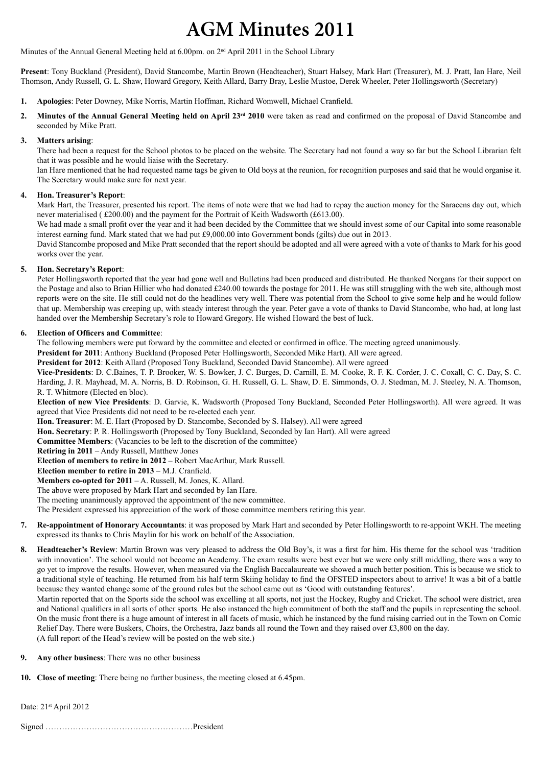# **AGM Minutes 2011**

Minutes of the Annual General Meeting held at 6.00pm. on 2<sup>nd</sup> April 2011 in the School Library

**Present**: Tony Buckland (President), David Stancombe, Martin Brown (Headteacher), Stuart Halsey, Mark Hart (Treasurer), M. J. Pratt, Ian Hare, Neil Thomson, Andy Russell, G. L. Shaw, Howard Gregory, Keith Allard, Barry Bray, Leslie Mustoe, Derek Wheeler, Peter Hollingsworth (Secretary)

- **1. Apologies**: Peter Downey, Mike Norris, Martin Hoffman, Richard Womwell, Michael Cranfield.
- 2. Minutes of the Annual General Meeting held on April 23<sup>rd</sup> 2010 were taken as read and confirmed on the proposal of David Stancombe and seconded by Mike Pratt.

### **3. Matters arising**:

There had been a request for the School photos to be placed on the website. The Secretary had not found a way so far but the School Librarian felt that it was possible and he would liaise with the Secretary.

Ian Hare mentioned that he had requested name tags be given to Old boys at the reunion, for recognition purposes and said that he would organise it. The Secretary would make sure for next year.

### **4. Hon. Treasurer's Report**:

Mark Hart, the Treasurer, presented his report. The items of note were that we had had to repay the auction money for the Saracens day out, which never materialised ( £200.00) and the payment for the Portrait of Keith Wadsworth (£613.00).

We had made a small profit over the year and it had been decided by the Committee that we should invest some of our Capital into some reasonable interest earning fund. Mark stated that we had put £9,000.00 into Government bonds (gilts) due out in 2013.

David Stancombe proposed and Mike Pratt seconded that the report should be adopted and all were agreed with a vote of thanks to Mark for his good works over the year.

### **5. Hon. Secretary's Report**:

Peter Hollingsworth reported that the year had gone well and Bulletins had been produced and distributed. He thanked Norgans for their support on the Postage and also to Brian Hillier who had donated  $\text{\pounds}240.00$  towards the postage for 2011. He was still struggling with the web site, although most reports were on the site. He still could not do the headlines very well. There was potential from the School to give some help and he would follow that up. Membership was creeping up, with steady interest through the year. Peter gave a vote of thanks to David Stancombe, who had, at long last handed over the Membership Secretary's role to Howard Gregory. He wished Howard the best of luck.

### **6. Election of Officers and Committee**:

The following members were put forward by the committee and elected or confirmed in office. The meeting agreed unanimously.

**President for 2011**: Anthony Buckland (Proposed Peter Hollingsworth, Seconded Mike Hart). All were agreed.

**President for 2012**: Keith Allard (Proposed Tony Buckland, Seconded David Stancombe). All were agreed

**Vice-Presidents**: D. C.Baines, T. P. Brooker, W. S. Bowker, J. C. Burges, D. Carnill, E. M. Cooke, R. F. K. Corder, J. C. Coxall, C. C. Day, S. C. Harding, J. R. Mayhead, M. A. Norris, B. D. Robinson, G. H. Russell, G. L. Shaw, D. E. Simmonds, O. J. Stedman, M. J. Steeley, N. A. Thomson, R. T. Whitmore (Elected en bloc).

**Election of new Vice Presidents**: D. Garvie, K. Wadsworth (Proposed Tony Buckland, Seconded Peter Hollingsworth). All were agreed. It was agreed that Vice Presidents did not need to be re-elected each year.

- **Hon. Treasurer**: M. E. Hart (Proposed by D. Stancombe, Seconded by S. Halsey). All were agreed
- **Hon. Secretary**: P. R. Hollingsworth (Proposed by Tony Buckland, Seconded by Ian Hart). All were agreed
- **Committee Members**: (Vacancies to be left to the discretion of the committee)
- **Retiring in 2011** Andy Russell, Matthew Jones
- **Election of members to retire in 2012** Robert MacArthur, Mark Russell.

**Election member to retire in 2013** – M.J. Cranfield.

**Members co-opted for 2011** – A. Russell, M. Jones, K. Allard.

The above were proposed by Mark Hart and seconded by Ian Hare.

The meeting unanimously approved the appointment of the new committee.

The President expressed his appreciation of the work of those committee members retiring this year.

- **7. Re-appointment of Honorary Accountants**: it was proposed by Mark Hart and seconded by Peter Hollingsworth to re-appoint WKH. The meeting expressed its thanks to Chris Maylin for his work on behalf of the Association.
- **8. Headteacher's Review**: Martin Brown was very pleased to address the Old Boy's, it was a first for him. His theme for the school was 'tradition with innovation'. The school would not become an Academy. The exam results were best ever but we were only still middling, there was a way to go yet to improve the results. However, when measured via the English Baccalaureate we showed a much better position. This is because we stick to a traditional style of teaching. He returned from his half term Skiing holiday to find the OFSTED inspectors about to arrive! It was a bit of a battle because they wanted change some of the ground rules but the school came out as 'Good with outstanding features'.

Martin reported that on the Sports side the school was excelling at all sports, not just the Hockey, Rugby and Cricket. The school were district, area and National qualifiers in all sorts of other sports. He also instanced the high commitment of both the staff and the pupils in representing the school. On the music front there is a huge amount of interest in all facets of music, which he instanced by the fund raising carried out in the Town on Comic Relief Day. There were Buskers, Choirs, the Orchestra, Jazz bands all round the Town and they raised over £3,800 on the day. (A full report of the Head's review will be posted on the web site.)

**9. Any other business**: There was no other business

**10. Close of meeting**: There being no further business, the meeting closed at 6.45pm.

Date: 21<sup>st</sup> April 2012